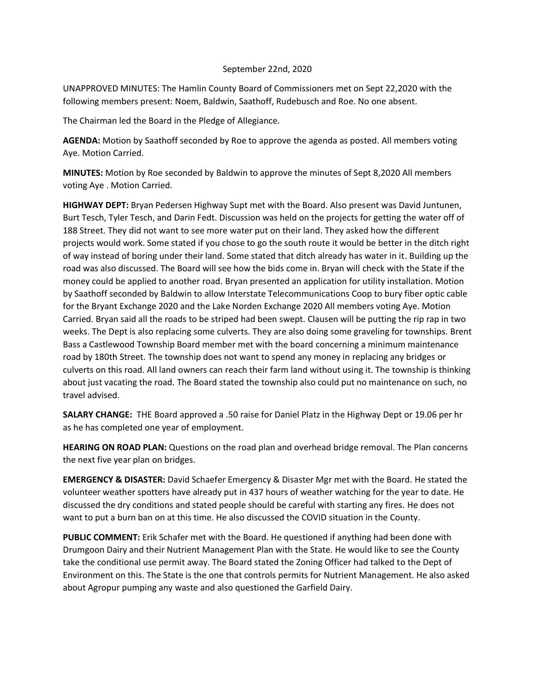## September 22nd, 2020

UNAPPROVED MINUTES: The Hamlin County Board of Commissioners met on Sept 22,2020 with the following members present: Noem, Baldwin, Saathoff, Rudebusch and Roe. No one absent.

The Chairman led the Board in the Pledge of Allegiance.

**AGENDA:** Motion by Saathoff seconded by Roe to approve the agenda as posted. All members voting Aye. Motion Carried.

**MINUTES:** Motion by Roe seconded by Baldwin to approve the minutes of Sept 8,2020 All members voting Aye . Motion Carried.

**HIGHWAY DEPT:** Bryan Pedersen Highway Supt met with the Board. Also present was David Juntunen, Burt Tesch, Tyler Tesch, and Darin Fedt. Discussion was held on the projects for getting the water off of 188 Street. They did not want to see more water put on their land. They asked how the different projects would work. Some stated if you chose to go the south route it would be better in the ditch right of way instead of boring under their land. Some stated that ditch already has water in it. Building up the road was also discussed. The Board will see how the bids come in. Bryan will check with the State if the money could be applied to another road. Bryan presented an application for utility installation. Motion by Saathoff seconded by Baldwin to allow Interstate Telecommunications Coop to bury fiber optic cable for the Bryant Exchange 2020 and the Lake Norden Exchange 2020 All members voting Aye. Motion Carried. Bryan said all the roads to be striped had been swept. Clausen will be putting the rip rap in two weeks. The Dept is also replacing some culverts. They are also doing some graveling for townships. Brent Bass a Castlewood Township Board member met with the board concerning a minimum maintenance road by 180th Street. The township does not want to spend any money in replacing any bridges or culverts on this road. All land owners can reach their farm land without using it. The township is thinking about just vacating the road. The Board stated the township also could put no maintenance on such, no travel advised.

**SALARY CHANGE:** THE Board approved a .50 raise for Daniel Platz in the Highway Dept or 19.06 per hr as he has completed one year of employment.

**HEARING ON ROAD PLAN:** Questions on the road plan and overhead bridge removal. The Plan concerns the next five year plan on bridges.

**EMERGENCY & DISASTER:** David Schaefer Emergency & Disaster Mgr met with the Board. He stated the volunteer weather spotters have already put in 437 hours of weather watching for the year to date. He discussed the dry conditions and stated people should be careful with starting any fires. He does not want to put a burn ban on at this time. He also discussed the COVID situation in the County.

**PUBLIC COMMENT:** Erik Schafer met with the Board. He questioned if anything had been done with Drumgoon Dairy and their Nutrient Management Plan with the State. He would like to see the County take the conditional use permit away. The Board stated the Zoning Officer had talked to the Dept of Environment on this. The State is the one that controls permits for Nutrient Management. He also asked about Agropur pumping any waste and also questioned the Garfield Dairy.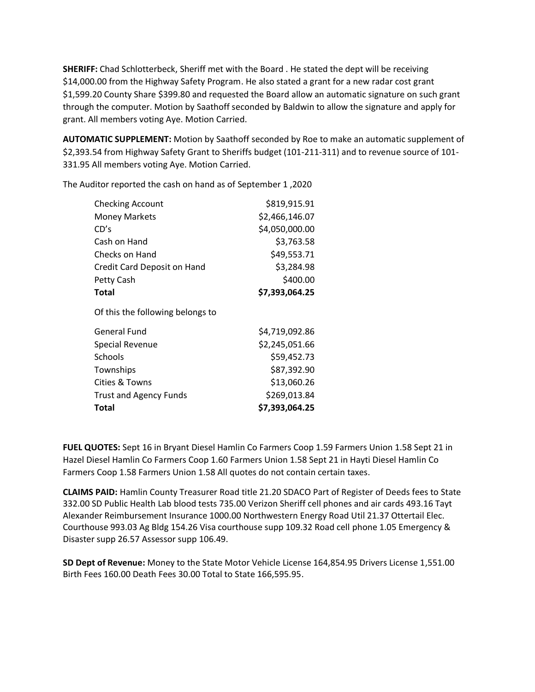**SHERIFF:** Chad Schlotterbeck, Sheriff met with the Board . He stated the dept will be receiving \$14,000.00 from the Highway Safety Program. He also stated a grant for a new radar cost grant \$1,599.20 County Share \$399.80 and requested the Board allow an automatic signature on such grant through the computer. Motion by Saathoff seconded by Baldwin to allow the signature and apply for grant. All members voting Aye. Motion Carried.

**AUTOMATIC SUPPLEMENT:** Motion by Saathoff seconded by Roe to make an automatic supplement of \$2,393.54 from Highway Safety Grant to Sheriffs budget (101-211-311) and to revenue source of 101- 331.95 All members voting Aye. Motion Carried.

The Auditor reported the cash on hand as of September 1 ,2020

| <b>Checking Account</b>          | \$819,915.91   |
|----------------------------------|----------------|
| <b>Money Markets</b>             | \$2,466,146.07 |
| CD's                             | \$4,050,000.00 |
| Cash on Hand                     | \$3,763.58     |
| Checks on Hand                   | \$49,553.71    |
| Credit Card Deposit on Hand      | \$3,284.98     |
| Petty Cash                       | \$400.00       |
| Total                            | \$7,393,064.25 |
| Of this the following belongs to |                |
| <b>General Fund</b>              | \$4,719,092.86 |
| <b>Special Revenue</b>           | \$2,245,051.66 |
| Schools                          | \$59,452.73    |
| Townships                        | \$87,392.90    |
| Cities & Towns                   | \$13,060.26    |
| <b>Trust and Agency Funds</b>    | \$269,013.84   |
| Total                            | \$7,393,064.25 |
|                                  |                |

**FUEL QUOTES:** Sept 16 in Bryant Diesel Hamlin Co Farmers Coop 1.59 Farmers Union 1.58 Sept 21 in Hazel Diesel Hamlin Co Farmers Coop 1.60 Farmers Union 1.58 Sept 21 in Hayti Diesel Hamlin Co Farmers Coop 1.58 Farmers Union 1.58 All quotes do not contain certain taxes.

**CLAIMS PAID:** Hamlin County Treasurer Road title 21.20 SDACO Part of Register of Deeds fees to State 332.00 SD Public Health Lab blood tests 735.00 Verizon Sheriff cell phones and air cards 493.16 Tayt Alexander Reimbursement Insurance 1000.00 Northwestern Energy Road Util 21.37 Ottertail Elec. Courthouse 993.03 Ag Bldg 154.26 Visa courthouse supp 109.32 Road cell phone 1.05 Emergency & Disaster supp 26.57 Assessor supp 106.49.

**SD Dept of Revenue:** Money to the State Motor Vehicle License 164,854.95 Drivers License 1,551.00 Birth Fees 160.00 Death Fees 30.00 Total to State 166,595.95.